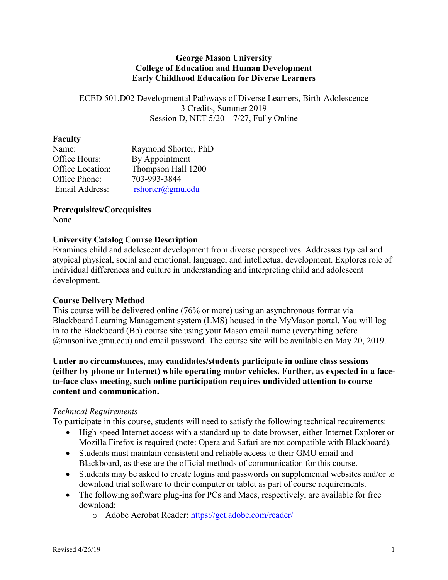### **George Mason University College of Education and Human Development Early Childhood Education for Diverse Learners**

ECED 501.D02 Developmental Pathways of Diverse Learners, Birth-Adolescence 3 Credits, Summer 2019 Session D, NET 5/20 – 7/27, Fully Online

### **Faculty**

| Name:            | Raymond Shorter, PhD  |
|------------------|-----------------------|
| Office Hours:    | By Appointment        |
| Office Location: | Thompson Hall 1200    |
| Office Phone:    | 703-993-3844          |
| Email Address:   | $rshorter(a)$ gmu.edu |

**Prerequisites/Corequisites** None

### **University Catalog Course Description**

Examines child and adolescent development from diverse perspectives. Addresses typical and atypical physical, social and emotional, language, and intellectual development. Explores role of individual differences and culture in understanding and interpreting child and adolescent development.

### **Course Delivery Method**

This course will be delivered online (76% or more) using an asynchronous format via Blackboard Learning Management system (LMS) housed in the MyMason portal. You will log in to the Blackboard (Bb) course site using your Mason email name (everything before @masonlive.gmu.edu) and email password. The course site will be available on May 20, 2019.

**Under no circumstances, may candidates/students participate in online class sessions (either by phone or Internet) while operating motor vehicles. Further, as expected in a faceto-face class meeting, such online participation requires undivided attention to course content and communication.**

### *Technical Requirements*

To participate in this course, students will need to satisfy the following technical requirements:

- High-speed Internet access with a standard up-to-date browser, either Internet Explorer or Mozilla Firefox is required (note: Opera and Safari are not compatible with Blackboard).
- Students must maintain consistent and reliable access to their GMU email and Blackboard, as these are the official methods of communication for this course.
- Students may be asked to create logins and passwords on supplemental websites and/or to download trial software to their computer or tablet as part of course requirements.
- The following software plug-ins for PCs and Macs, respectively, are available for free download:
	- o Adobe Acrobat Reader:<https://get.adobe.com/reader/>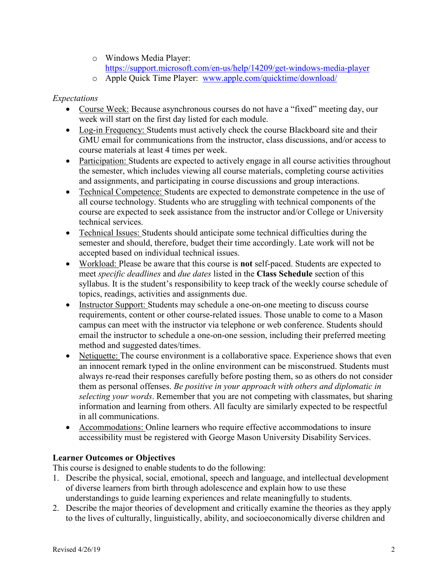- o Windows Media Player:
- <https://support.microsoft.com/en-us/help/14209/get-windows-media-player>
- o Apple Quick Time Player: [www.apple.com/quicktime/download/](http://www.apple.com/quicktime/download/)

# *Expectations*

- Course Week: Because asynchronous courses do not have a "fixed" meeting day, our week will start on the first day listed for each module.
- Log-in Frequency: Students must actively check the course Blackboard site and their GMU email for communications from the instructor, class discussions, and/or access to course materials at least 4 times per week.
- Participation: Students are expected to actively engage in all course activities throughout the semester, which includes viewing all course materials, completing course activities and assignments, and participating in course discussions and group interactions.
- Technical Competence: Students are expected to demonstrate competence in the use of all course technology. Students who are struggling with technical components of the course are expected to seek assistance from the instructor and/or College or University technical services.
- Technical Issues: Students should anticipate some technical difficulties during the semester and should, therefore, budget their time accordingly. Late work will not be accepted based on individual technical issues.
- Workload: Please be aware that this course is **not** self-paced. Students are expected to meet *specific deadlines* and *due dates* listed in the **Class Schedule** section of this syllabus. It is the student's responsibility to keep track of the weekly course schedule of topics, readings, activities and assignments due.
- Instructor Support: Students may schedule a one-on-one meeting to discuss course requirements, content or other course-related issues. Those unable to come to a Mason campus can meet with the instructor via telephone or web conference. Students should email the instructor to schedule a one-on-one session, including their preferred meeting method and suggested dates/times.
- Netiquette: The course environment is a collaborative space. Experience shows that even an innocent remark typed in the online environment can be misconstrued. Students must always re-read their responses carefully before posting them, so as others do not consider them as personal offenses. *Be positive in your approach with others and diplomatic in selecting your words*. Remember that you are not competing with classmates, but sharing information and learning from others. All faculty are similarly expected to be respectful in all communications.
- Accommodations: Online learners who require effective accommodations to insure accessibility must be registered with George Mason University Disability Services.

# **Learner Outcomes or Objectives**

This course is designed to enable students to do the following:

- 1. Describe the physical, social, emotional, speech and language, and intellectual development of diverse learners from birth through adolescence and explain how to use these understandings to guide learning experiences and relate meaningfully to students.
- 2. Describe the major theories of development and critically examine the theories as they apply to the lives of culturally, linguistically, ability, and socioeconomically diverse children and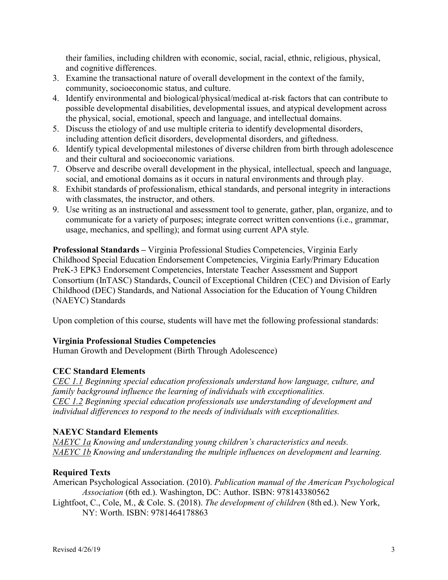their families, including children with economic, social, racial, ethnic, religious, physical, and cognitive differences.

- 3. Examine the transactional nature of overall development in the context of the family, community, socioeconomic status, and culture.
- 4. Identify environmental and biological/physical/medical at-risk factors that can contribute to possible developmental disabilities, developmental issues, and atypical development across the physical, social, emotional, speech and language, and intellectual domains.
- 5. Discuss the etiology of and use multiple criteria to identify developmental disorders, including attention deficit disorders, developmental disorders, and giftedness.
- 6. Identify typical developmental milestones of diverse children from birth through adolescence and their cultural and socioeconomic variations.
- 7. Observe and describe overall development in the physical, intellectual, speech and language, social, and emotional domains as it occurs in natural environments and through play.
- 8. Exhibit standards of professionalism, ethical standards, and personal integrity in interactions with classmates, the instructor, and others.
- 9. Use writing as an instructional and assessment tool to generate, gather, plan, organize, and to communicate for a variety of purposes; integrate correct written conventions (i.e., grammar, usage, mechanics, and spelling); and format using current APA style.

**Professional Standards –** Virginia Professional Studies Competencies, Virginia Early Childhood Special Education Endorsement Competencies, Virginia Early/Primary Education PreK-3 EPK3 Endorsement Competencies, Interstate Teacher Assessment and Support Consortium (InTASC) Standards, Council of Exceptional Children (CEC) and Division of Early Childhood (DEC) Standards, and National Association for the Education of Young Children (NAEYC) Standards

Upon completion of this course, students will have met the following professional standards:

# **Virginia Professional Studies Competencies**

Human Growth and Development (Birth Through Adolescence)

# **CEC Standard Elements**

*CEC 1.1 Beginning special education professionals understand how language, culture, and family background influence the learning of individuals with exceptionalities. CEC 1.2 Beginning special education professionals use understanding of development and individual differences to respond to the needs of individuals with exceptionalities.*

### **NAEYC Standard Elements**

*NAEYC 1a Knowing and understanding young children's characteristics and needs. NAEYC 1b Knowing and understanding the multiple influences on development and learning.*

# **Required Texts**

American Psychological Association. (2010). *Publication manual of the American Psychological Association* (6th ed.). Washington, DC: Author. ISBN: 978143380562

Lightfoot, C., Cole, M., & Cole. S. (2018). *The development of children* (8th ed.). New York, NY: Worth. ISBN: 9781464178863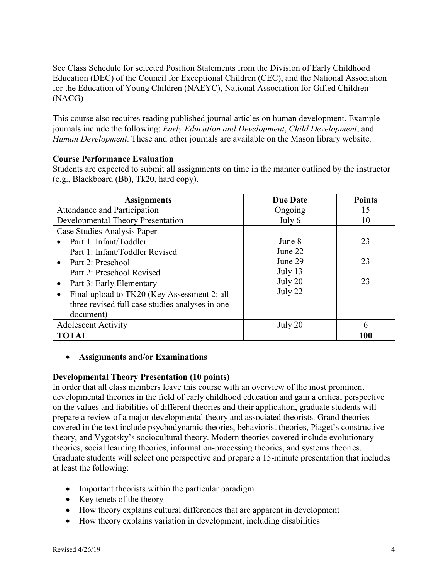See Class Schedule for selected Position Statements from the Division of Early Childhood Education (DEC) of the Council for Exceptional Children (CEC), and the National Association for the Education of Young Children (NAEYC), National Association for Gifted Children (NACG)

This course also requires reading published journal articles on human development. Example journals include the following: *Early Education and Development*, *Child Development*, and *Human Development*. These and other journals are available on the Mason library website.

# **Course Performance Evaluation**

Students are expected to submit all assignments on time in the manner outlined by the instructor (e.g., Blackboard (Bb), Tk20, hard copy).

| <b>Assignments</b>                              | <b>Due Date</b> | <b>Points</b> |  |
|-------------------------------------------------|-----------------|---------------|--|
| Attendance and Participation                    | Ongoing         | 15            |  |
| Developmental Theory Presentation               | July 6          | 10            |  |
| Case Studies Analysis Paper                     |                 |               |  |
| Part 1: Infant/Toddler                          | June 8          | 23            |  |
| Part 1: Infant/Toddler Revised                  | June 22         |               |  |
| • Part 2: Preschool                             | June 29         | 23            |  |
| Part 2: Preschool Revised                       | July 13         |               |  |
| Part 3: Early Elementary<br>$\bullet$           | July 20         | 23            |  |
| Final upload to TK20 (Key Assessment 2: all     | July 22         |               |  |
| three revised full case studies analyses in one |                 |               |  |
| document)                                       |                 |               |  |
| <b>Adolescent Activity</b>                      | July 20         | 6             |  |
| <b>TOTAL</b>                                    |                 | 100           |  |

### • **Assignments and/or Examinations**

# **Developmental Theory Presentation (10 points)**

In order that all class members leave this course with an overview of the most prominent developmental theories in the field of early childhood education and gain a critical perspective on the values and liabilities of different theories and their application, graduate students will prepare a review of a major developmental theory and associated theorists. Grand theories covered in the text include psychodynamic theories, behaviorist theories, Piaget's constructive theory, and Vygotsky's sociocultural theory. Modern theories covered include evolutionary theories, social learning theories, information-processing theories, and systems theories. Graduate students will select one perspective and prepare a 15-minute presentation that includes at least the following:

- Important theorists within the particular paradigm
- Key tenets of the theory
- How theory explains cultural differences that are apparent in development
- How theory explains variation in development, including disabilities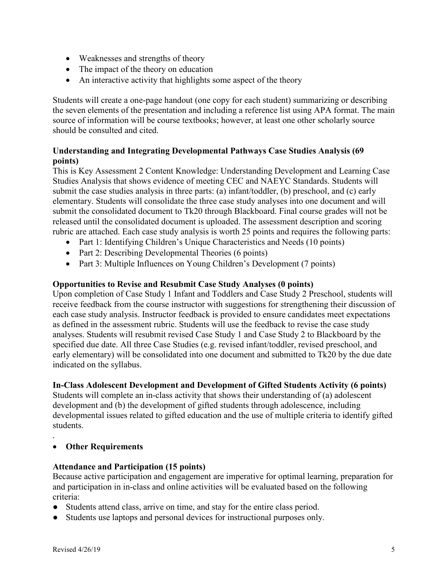- Weaknesses and strengths of theory
- The impact of the theory on education
- An interactive activity that highlights some aspect of the theory

Students will create a one-page handout (one copy for each student) summarizing or describing the seven elements of the presentation and including a reference list using APA format. The main source of information will be course textbooks; however, at least one other scholarly source should be consulted and cited.

# **Understanding and Integrating Developmental Pathways Case Studies Analysis (69 points)**

This is Key Assessment 2 Content Knowledge: Understanding Development and Learning Case Studies Analysis that shows evidence of meeting CEC and NAEYC Standards. Students will submit the case studies analysis in three parts: (a) infant/toddler, (b) preschool, and (c) early elementary. Students will consolidate the three case study analyses into one document and will submit the consolidated document to Tk20 through Blackboard. Final course grades will not be released until the consolidated document is uploaded. The assessment description and scoring rubric are attached. Each case study analysis is worth 25 points and requires the following parts:

- Part 1: Identifying Children's Unique Characteristics and Needs (10 points)
- Part 2: Describing Developmental Theories (6 points)
- Part 3: Multiple Influences on Young Children's Development (7 points)

# **Opportunities to Revise and Resubmit Case Study Analyses (0 points)**

Upon completion of Case Study 1 Infant and Toddlers and Case Study 2 Preschool, students will receive feedback from the course instructor with suggestions for strengthening their discussion of each case study analysis. Instructor feedback is provided to ensure candidates meet expectations as defined in the assessment rubric. Students will use the feedback to revise the case study analyses. Students will resubmit revised Case Study 1 and Case Study 2 to Blackboard by the specified due date. All three Case Studies (e.g. revised infant/toddler, revised preschool, and early elementary) will be consolidated into one document and submitted to Tk20 by the due date indicated on the syllabus.

# **In-Class Adolescent Development and Development of Gifted Students Activity (6 points)**

Students will complete an in-class activity that shows their understanding of (a) adolescent development and (b) the development of gifted students through adolescence, including developmental issues related to gifted education and the use of multiple criteria to identify gifted students.

.

# • **Other Requirements**

# **Attendance and Participation (15 points)**

Because active participation and engagement are imperative for optimal learning, preparation for and participation in in-class and online activities will be evaluated based on the following criteria:

- Students attend class, arrive on time, and stay for the entire class period.
- Students use laptops and personal devices for instructional purposes only.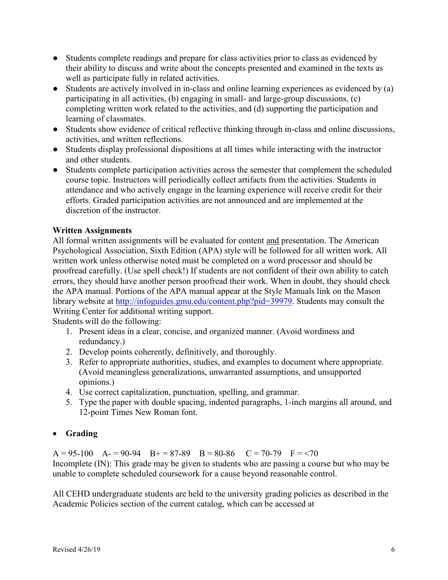- Students complete readings and prepare for class activities prior to class as evidenced by their ability to discuss and write about the concepts presented and examined in the texts as well as participate fully in related activities.
- Students are actively involved in in-class and online learning experiences as evidenced by (a) participating in all activities, (b) engaging in small- and large-group discussions, (c) completing written work related to the activities, and (d) supporting the participation and learning of classmates.
- Students show evidence of critical reflective thinking through in-class and online discussions, activities, and written reflections.
- Students display professional dispositions at all times while interacting with the instructor and other students.
- Students complete participation activities across the semester that complement the scheduled course topic. Instructors will periodically collect artifacts from the activities. Students in attendance and who actively engage in the learning experience will receive credit for their efforts. Graded participation activities are not announced and are implemented at the discretion of the instructor.

# **Written Assignments**

All formal written assignments will be evaluated for content and presentation. The American Psychological Association, Sixth Edition (APA) style will be followed for all written work. All written work unless otherwise noted must be completed on a word processor and should be proofread carefully. (Use spell check!) If students are not confident of their own ability to catch errors, they should have another person proofread their work. When in doubt, they should check the APA manual. Portions of the APA manual appear at the Style Manuals link on the Mason library website at [http://infoguides.gmu.edu/content.php?pid=39979.](http://infoguides.gmu.edu/content.php?pid=39979) Students may consult the Writing Center for additional writing support.

Students will do the following:

- 1. Present ideas in a clear, concise, and organized manner. (Avoid wordiness and redundancy.)
- 2. Develop points coherently, definitively, and thoroughly.
- 3. Refer to appropriate authorities, studies, and examples to document where appropriate. (Avoid meaningless generalizations, unwarranted assumptions, and unsupported opinions.)
- 4. Use correct capitalization, punctuation, spelling, and grammar.
- 5. Type the paper with double spacing, indented paragraphs, 1-inch margins all around, and 12-point Times New Roman font.

# • **Grading**

 $A = 95-100$   $A = 90-94$   $B = 87-89$   $B = 80-86$   $C = 70-79$   $F = 70$ Incomplete (IN): This grade may be given to students who are passing a course but who may be unable to complete scheduled coursework for a cause beyond reasonable control.

All CEHD undergraduate students are held to the university grading policies as described in the Academic Policies section of the current catalog, which can be accessed at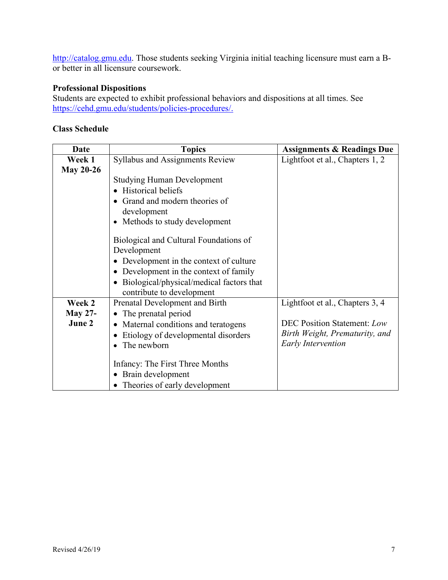[http://catalog.gmu.edu.](http://catalog.gmu.edu/) Those students seeking Virginia initial teaching licensure must earn a Bor better in all licensure coursework.

# **Professional Dispositions**

Students are expected to exhibit professional behaviors and dispositions at all times. See [https://cehd.gmu.edu/students/policies-procedures/.](https://cehd.gmu.edu/students/policies-procedures/)

### **Class Schedule**

| Date             | <b>Topics</b>                                     | <b>Assignments &amp; Readings Due</b> |
|------------------|---------------------------------------------------|---------------------------------------|
| Week 1           | Syllabus and Assignments Review                   | Lightfoot et al., Chapters 1, 2       |
| <b>May 20-26</b> |                                                   |                                       |
|                  | <b>Studying Human Development</b>                 |                                       |
|                  | <b>Historical beliefs</b>                         |                                       |
|                  | Grand and modern theories of                      |                                       |
|                  | development                                       |                                       |
|                  | Methods to study development<br>$\bullet$         |                                       |
|                  | Biological and Cultural Foundations of            |                                       |
|                  | Development                                       |                                       |
|                  | Development in the context of culture             |                                       |
|                  | Development in the context of family<br>$\bullet$ |                                       |
|                  | Biological/physical/medical factors that          |                                       |
|                  | contribute to development                         |                                       |
| Week 2           | Prenatal Development and Birth                    | Lightfoot et al., Chapters 3, 4       |
| <b>May 27-</b>   | The prenatal period                               |                                       |
| June 2           | Maternal conditions and teratogens<br>$\bullet$   | <b>DEC Position Statement: Low</b>    |
|                  | Etiology of developmental disorders               | Birth Weight, Prematurity, and        |
|                  | The newborn                                       | Early Intervention                    |
|                  | Infancy: The First Three Months                   |                                       |
|                  | Brain development<br>$\bullet$                    |                                       |
|                  | Theories of early development                     |                                       |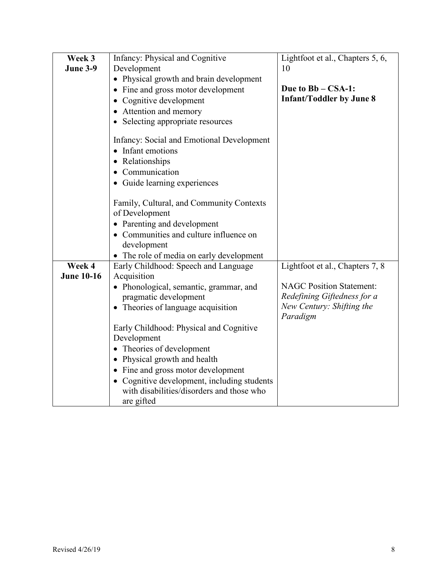| Week 3            | Infancy: Physical and Cognitive               | Lightfoot et al., Chapters 5, 6, |
|-------------------|-----------------------------------------------|----------------------------------|
| <b>June 3-9</b>   | Development                                   | 10                               |
|                   | • Physical growth and brain development       |                                  |
|                   | Fine and gross motor development<br>$\bullet$ | Due to Bb – CSA-1:               |
|                   | Cognitive development<br>$\bullet$            | <b>Infant/Toddler by June 8</b>  |
|                   | • Attention and memory                        |                                  |
|                   | • Selecting appropriate resources             |                                  |
|                   |                                               |                                  |
|                   | Infancy: Social and Emotional Development     |                                  |
|                   | Infant emotions                               |                                  |
|                   | Relationships<br>$\bullet$                    |                                  |
|                   | Communication<br>$\bullet$                    |                                  |
|                   | · Guide learning experiences                  |                                  |
|                   |                                               |                                  |
|                   | Family, Cultural, and Community Contexts      |                                  |
|                   | of Development                                |                                  |
|                   | • Parenting and development                   |                                  |
|                   | • Communities and culture influence on        |                                  |
|                   | development                                   |                                  |
|                   | • The role of media on early development      |                                  |
| Week 4            | Early Childhood: Speech and Language          | Lightfoot et al., Chapters 7, 8  |
| <b>June 10-16</b> | Acquisition                                   |                                  |
|                   | • Phonological, semantic, grammar, and        | <b>NAGC Position Statement:</b>  |
|                   | pragmatic development                         | Redefining Giftedness for a      |
|                   | • Theories of language acquisition            | New Century: Shifting the        |
|                   |                                               | Paradigm                         |
|                   | Early Childhood: Physical and Cognitive       |                                  |
|                   | Development                                   |                                  |
|                   | • Theories of development                     |                                  |
|                   | • Physical growth and health                  |                                  |
|                   | • Fine and gross motor development            |                                  |
|                   | • Cognitive development, including students   |                                  |
|                   | with disabilities/disorders and those who     |                                  |
|                   | are gifted                                    |                                  |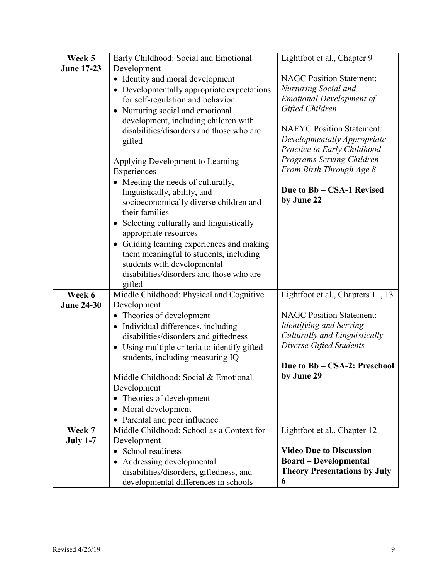| Week 5            | Early Childhood: Social and Emotional                    | Lightfoot et al., Chapter 9         |
|-------------------|----------------------------------------------------------|-------------------------------------|
| <b>June 17-23</b> | Development                                              |                                     |
|                   | • Identity and moral development                         | <b>NAGC Position Statement:</b>     |
|                   | • Developmentally appropriate expectations               | Nurturing Social and                |
|                   | for self-regulation and behavior                         | <b>Emotional Development of</b>     |
|                   | • Nurturing social and emotional                         | Gifted Children                     |
|                   | development, including children with                     |                                     |
|                   | disabilities/disorders and those who are                 | <b>NAEYC Position Statement:</b>    |
|                   | gifted                                                   | Developmentally Appropriate         |
|                   |                                                          | Practice in Early Childhood         |
|                   | Applying Development to Learning                         | Programs Serving Children           |
|                   | Experiences                                              | From Birth Through Age 8            |
|                   | • Meeting the needs of culturally,                       | Due to Bb – CSA-1 Revised           |
|                   | linguistically, ability, and                             | by June 22                          |
|                   | socioeconomically diverse children and<br>their families |                                     |
|                   | Selecting culturally and linguistically<br>$\bullet$     |                                     |
|                   | appropriate resources                                    |                                     |
|                   | • Guiding learning experiences and making                |                                     |
|                   | them meaningful to students, including                   |                                     |
|                   | students with developmental                              |                                     |
|                   | disabilities/disorders and those who are                 |                                     |
|                   | gifted                                                   |                                     |
| Week 6            | Middle Childhood: Physical and Cognitive                 | Lightfoot et al., Chapters 11, 13   |
| <b>June 24-30</b> | Development                                              | <b>NAGC Position Statement:</b>     |
|                   | • Theories of development                                | Identifying and Serving             |
|                   | • Individual differences, including                      | Culturally and Linguistically       |
|                   | disabilities/disorders and giftedness                    | Diverse Gifted Students             |
|                   | • Using multiple criteria to identify gifted             |                                     |
|                   | students, including measuring IQ                         | Due to Bb - CSA-2: Preschool        |
|                   | Middle Childhood: Social & Emotional                     | by June 29                          |
|                   | Development                                              |                                     |
|                   | Theories of development<br>$\bullet$                     |                                     |
|                   | Moral development<br>$\bullet$                           |                                     |
|                   | Parental and peer influence                              |                                     |
| Week 7            | Middle Childhood: School as a Context for                | Lightfoot et al., Chapter 12        |
| <b>July 1-7</b>   | Development                                              |                                     |
|                   | School readiness                                         | <b>Video Due to Discussion</b>      |
|                   | Addressing developmental<br>$\bullet$                    | <b>Board – Developmental</b>        |
|                   | disabilities/disorders, giftedness, and                  | <b>Theory Presentations by July</b> |
|                   | developmental differences in schools                     | 6                                   |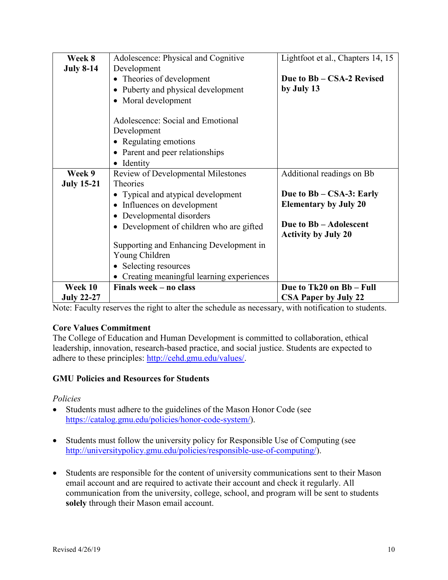| Week 8            | Adolescence: Physical and Cognitive                                                                                                                                                                                                   | Lightfoot et al., Chapters 14, 15 |
|-------------------|---------------------------------------------------------------------------------------------------------------------------------------------------------------------------------------------------------------------------------------|-----------------------------------|
| <b>July 8-14</b>  | Development                                                                                                                                                                                                                           |                                   |
|                   | Theories of development                                                                                                                                                                                                               | Due to Bb – CSA-2 Revised         |
|                   | Puberty and physical development                                                                                                                                                                                                      | by July 13                        |
|                   | • Moral development                                                                                                                                                                                                                   |                                   |
|                   | Adolescence: Social and Emotional                                                                                                                                                                                                     |                                   |
|                   | Development                                                                                                                                                                                                                           |                                   |
|                   | • Regulating emotions                                                                                                                                                                                                                 |                                   |
|                   | • Parent and peer relationships                                                                                                                                                                                                       |                                   |
|                   | Identity                                                                                                                                                                                                                              |                                   |
| Week 9            | Review of Developmental Milestones                                                                                                                                                                                                    | Additional readings on Bb         |
| <b>July 15-21</b> | Theories                                                                                                                                                                                                                              |                                   |
|                   | Typical and atypical development                                                                                                                                                                                                      | Due to Bb – CSA-3: Early          |
|                   | Influences on development                                                                                                                                                                                                             | <b>Elementary by July 20</b>      |
|                   | Developmental disorders                                                                                                                                                                                                               |                                   |
|                   | Development of children who are gifted                                                                                                                                                                                                | Due to Bb - Adolescent            |
|                   |                                                                                                                                                                                                                                       | <b>Activity by July 20</b>        |
|                   | Supporting and Enhancing Development in                                                                                                                                                                                               |                                   |
|                   | Young Children                                                                                                                                                                                                                        |                                   |
|                   | Selecting resources                                                                                                                                                                                                                   |                                   |
|                   | Creating meaningful learning experiences                                                                                                                                                                                              |                                   |
| Week 10           | Finals week – no class                                                                                                                                                                                                                | Due to Tk20 on Bb - Full          |
| <b>July 22-27</b> | $\mathbf{r}$ and $\mathbf{r}$ are a set of the set of the set of the set of the set of the set of the set of the set of the set of the set of the set of the set of the set of the set of the set of the set of the set of the set of | <b>CSA Paper by July 22</b>       |

Note: Faculty reserves the right to alter the schedule as necessary, with notification to students.

# **Core Values Commitment**

The College of Education and Human Development is committed to collaboration, ethical leadership, innovation, research-based practice, and social justice. Students are expected to adhere to these principles: [http://cehd.gmu.edu/values/.](http://cehd.gmu.edu/values/)

# **GMU Policies and Resources for Students**

*Policies*

- Students must adhere to the guidelines of the Mason Honor Code (see [https://catalog.gmu.edu/policies/honor-code-system/\)](https://catalog.gmu.edu/policies/honor-code-system/).
- Students must follow the university policy for Responsible Use of Computing (see [http://universitypolicy.gmu.edu/policies/responsible-use-of-computing/\)](http://universitypolicy.gmu.edu/policies/responsible-use-of-computing/).
- Students are responsible for the content of university communications sent to their Mason email account and are required to activate their account and check it regularly. All communication from the university, college, school, and program will be sent to students **solely** through their Mason email account.